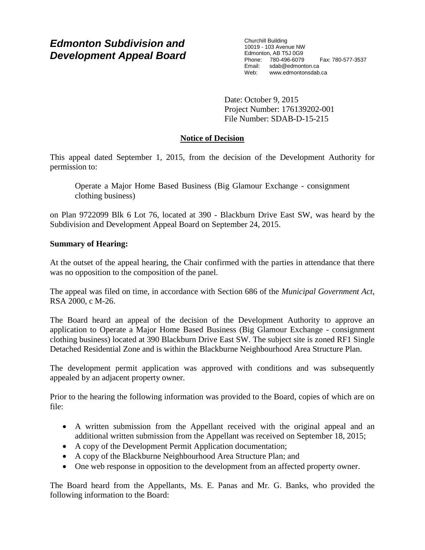# *Edmonton Subdivision and Development Appeal Board*

Churchill Building 10019 - 103 Avenue NW Edmonton, AB T5J 0G9 Phone: 780-496-6079 Fax: 780-577-3537 Email: sdab@edmonton.ca<br>Web: www.edmonton.ca Web: www.edmontonsdab.ca

Date: October 9, 2015 Project Number: 176139202-001 File Number: SDAB-D-15-215

# **Notice of Decision**

This appeal dated September 1, 2015, from the decision of the Development Authority for permission to:

Operate a Major Home Based Business (Big Glamour Exchange - consignment clothing business)

on Plan 9722099 Blk 6 Lot 76, located at 390 - Blackburn Drive East SW, was heard by the Subdivision and Development Appeal Board on September 24, 2015.

# **Summary of Hearing:**

At the outset of the appeal hearing, the Chair confirmed with the parties in attendance that there was no opposition to the composition of the panel.

The appeal was filed on time, in accordance with Section 686 of the *Municipal Government Act*, RSA 2000, c M-26.

The Board heard an appeal of the decision of the Development Authority to approve an application to Operate a Major Home Based Business (Big Glamour Exchange - consignment clothing business) located at 390 Blackburn Drive East SW. The subject site is zoned RF1 Single Detached Residential Zone and is within the Blackburne Neighbourhood Area Structure Plan.

The development permit application was approved with conditions and was subsequently appealed by an adjacent property owner.

Prior to the hearing the following information was provided to the Board, copies of which are on file:

- A written submission from the Appellant received with the original appeal and an additional written submission from the Appellant was received on September 18, 2015;
- A copy of the Development Permit Application documentation;
- A copy of the Blackburne Neighbourhood Area Structure Plan; and
- One web response in opposition to the development from an affected property owner.

The Board heard from the Appellants, Ms. E. Panas and Mr. G. Banks, who provided the following information to the Board: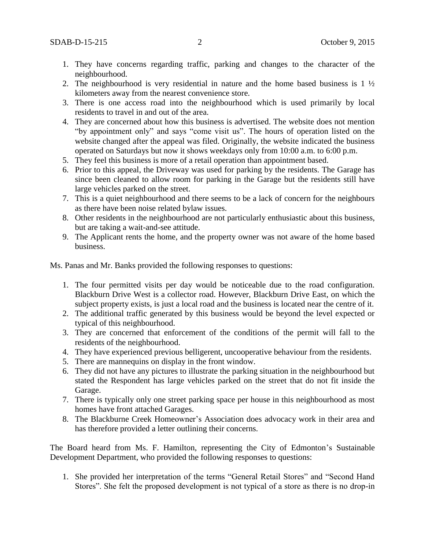- 1. They have concerns regarding traffic, parking and changes to the character of the neighbourhood.
- 2. The neighbourhood is very residential in nature and the home based business is  $1\frac{1}{2}$ kilometers away from the nearest convenience store.
- 3. There is one access road into the neighbourhood which is used primarily by local residents to travel in and out of the area.
- 4. They are concerned about how this business is advertised. The website does not mention "by appointment only" and says "come visit us". The hours of operation listed on the website changed after the appeal was filed. Originally, the website indicated the business operated on Saturdays but now it shows weekdays only from 10:00 a.m. to 6:00 p.m.
- 5. They feel this business is more of a retail operation than appointment based.
- 6. Prior to this appeal, the Driveway was used for parking by the residents. The Garage has since been cleaned to allow room for parking in the Garage but the residents still have large vehicles parked on the street.
- 7. This is a quiet neighbourhood and there seems to be a lack of concern for the neighbours as there have been noise related bylaw issues.
- 8. Other residents in the neighbourhood are not particularly enthusiastic about this business, but are taking a wait-and-see attitude.
- 9. The Applicant rents the home, and the property owner was not aware of the home based business.

Ms. Panas and Mr. Banks provided the following responses to questions:

- 1. The four permitted visits per day would be noticeable due to the road configuration. Blackburn Drive West is a collector road. However, Blackburn Drive East, on which the subject property exists, is just a local road and the business is located near the centre of it.
- 2. The additional traffic generated by this business would be beyond the level expected or typical of this neighbourhood.
- 3. They are concerned that enforcement of the conditions of the permit will fall to the residents of the neighbourhood.
- 4. They have experienced previous belligerent, uncooperative behaviour from the residents.
- 5. There are mannequins on display in the front window.
- 6. They did not have any pictures to illustrate the parking situation in the neighbourhood but stated the Respondent has large vehicles parked on the street that do not fit inside the Garage.
- 7. There is typically only one street parking space per house in this neighbourhood as most homes have front attached Garages.
- 8. The Blackburne Creek Homeowner's Association does advocacy work in their area and has therefore provided a letter outlining their concerns.

The Board heard from Ms. F. Hamilton, representing the City of Edmonton's Sustainable Development Department, who provided the following responses to questions:

1. She provided her interpretation of the terms "General Retail Stores" and "Second Hand Stores". She felt the proposed development is not typical of a store as there is no drop-in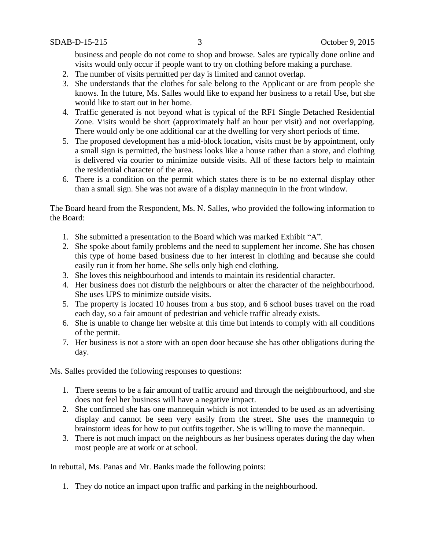business and people do not come to shop and browse. Sales are typically done online and visits would only occur if people want to try on clothing before making a purchase.

- 2. The number of visits permitted per day is limited and cannot overlap.
- 3. She understands that the clothes for sale belong to the Applicant or are from people she knows. In the future, Ms. Salles would like to expand her business to a retail Use, but she would like to start out in her home.
- 4. Traffic generated is not beyond what is typical of the RF1 Single Detached Residential Zone. Visits would be short (approximately half an hour per visit) and not overlapping. There would only be one additional car at the dwelling for very short periods of time.
- 5. The proposed development has a mid-block location, visits must be by appointment, only a small sign is permitted, the business looks like a house rather than a store, and clothing is delivered via courier to minimize outside visits. All of these factors help to maintain the residential character of the area.
- 6. There is a condition on the permit which states there is to be no external display other than a small sign. She was not aware of a display mannequin in the front window.

The Board heard from the Respondent, Ms. N. Salles, who provided the following information to the Board:

- 1. She submitted a presentation to the Board which was marked Exhibit "A".
- 2. She spoke about family problems and the need to supplement her income. She has chosen this type of home based business due to her interest in clothing and because she could easily run it from her home. She sells only high end clothing.
- 3. She loves this neighbourhood and intends to maintain its residential character.
- 4. Her business does not disturb the neighbours or alter the character of the neighbourhood. She uses UPS to minimize outside visits.
- 5. The property is located 10 houses from a bus stop, and 6 school buses travel on the road each day, so a fair amount of pedestrian and vehicle traffic already exists.
- 6. She is unable to change her website at this time but intends to comply with all conditions of the permit.
- 7. Her business is not a store with an open door because she has other obligations during the day.

Ms. Salles provided the following responses to questions:

- 1. There seems to be a fair amount of traffic around and through the neighbourhood, and she does not feel her business will have a negative impact.
- 2. She confirmed she has one mannequin which is not intended to be used as an advertising display and cannot be seen very easily from the street. She uses the mannequin to brainstorm ideas for how to put outfits together. She is willing to move the mannequin.
- 3. There is not much impact on the neighbours as her business operates during the day when most people are at work or at school.

In rebuttal, Ms. Panas and Mr. Banks made the following points:

1. They do notice an impact upon traffic and parking in the neighbourhood.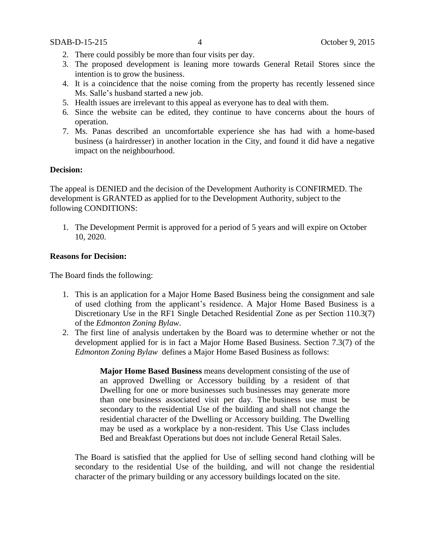- 2. There could possibly be more than four visits per day.
- 3. The proposed development is leaning more towards General Retail Stores since the intention is to grow the business.
- 4. It is a coincidence that the noise coming from the property has recently lessened since Ms. Salle's husband started a new job.
- 5. Health issues are irrelevant to this appeal as everyone has to deal with them.
- 6. Since the website can be edited, they continue to have concerns about the hours of operation.
- 7. Ms. Panas described an uncomfortable experience she has had with a home-based business (a hairdresser) in another location in the City, and found it did have a negative impact on the neighbourhood.

#### **Decision:**

The appeal is DENIED and the decision of the Development Authority is CONFIRMED. The development is GRANTED as applied for to the Development Authority, subject to the following CONDITIONS:

1. The Development Permit is approved for a period of 5 years and will expire on October 10, 2020.

#### **Reasons for Decision:**

The Board finds the following:

- 1. This is an application for a Major Home Based Business being the consignment and sale of used clothing from the applicant's residence. A Major Home Based Business is a Discretionary Use in the RF1 Single Detached Residential Zone as per Section 110.3(7) of the *Edmonton Zoning Bylaw*.
- 2. The first line of analysis undertaken by the Board was to determine whether or not the development applied for is in fact a Major Home Based Business. Section 7.3(7) of the *Edmonton Zoning Bylaw* defines a Major Home Based Business as follows:

**Major Home Based Business** means development consisting of the use of an approved Dwelling or Accessory building by a resident of that Dwelling for one or more businesses such businesses may generate more than one business associated visit per day. The business use must be secondary to the residential Use of the building and shall not change the residential character of the Dwelling or Accessory building. The Dwelling may be used as a workplace by a non-resident. This Use Class includes Bed and Breakfast Operations but does not include General Retail Sales.

The Board is satisfied that the applied for Use of selling second hand clothing will be secondary to the residential Use of the building, and will not change the residential character of the primary building or any accessory buildings located on the site.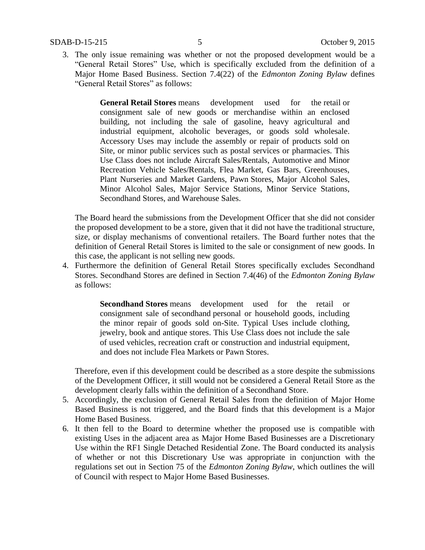3. The only issue remaining was whether or not the proposed development would be a "General Retail Stores" Use, which is specifically excluded from the definition of a Major Home Based Business. Section 7.4(22) of the *Edmonton Zoning Bylaw* defines "General Retail Stores" as follows:

> **General Retail Stores** means development used for the retail or consignment sale of new goods or merchandise within an enclosed building, not including the sale of gasoline, heavy agricultural and industrial equipment, alcoholic beverages, or goods sold wholesale. Accessory Uses may include the assembly or repair of products sold on Site, or minor public services such as postal services or pharmacies. This Use Class does not include Aircraft Sales/Rentals, Automotive and Minor Recreation Vehicle Sales/Rentals, Flea Market, Gas Bars, Greenhouses, Plant Nurseries and Market Gardens, Pawn Stores, Major Alcohol Sales, Minor Alcohol Sales, Major Service Stations, Minor Service Stations, Secondhand Stores, and Warehouse Sales.

The Board heard the submissions from the Development Officer that she did not consider the proposed development to be a store, given that it did not have the traditional structure, size, or display mechanisms of conventional retailers. The Board further notes that the definition of General Retail Stores is limited to the sale or consignment of new goods. In this case, the applicant is not selling new goods.

4. Furthermore the definition of General Retail Stores specifically excludes Secondhand Stores. Secondhand Stores are defined in Section 7.4(46) of the *Edmonton Zoning Bylaw* as follows:

> **Secondhand Stores** means development used for the retail or consignment sale of secondhand personal or household goods, including the minor repair of goods sold on-Site. Typical Uses include clothing, jewelry, book and antique stores. This Use Class does not include the sale of used vehicles, recreation craft or construction and industrial equipment, and does not include Flea Markets or Pawn Stores.

Therefore, even if this development could be described as a store despite the submissions of the Development Officer, it still would not be considered a General Retail Store as the development clearly falls within the definition of a Secondhand Store.

- 5. Accordingly, the exclusion of General Retail Sales from the definition of Major Home Based Business is not triggered, and the Board finds that this development is a Major Home Based Business.
- 6. It then fell to the Board to determine whether the proposed use is compatible with existing Uses in the adjacent area as Major Home Based Businesses are a Discretionary Use within the RF1 Single Detached Residential Zone. The Board conducted its analysis of whether or not this Discretionary Use was appropriate in conjunction with the regulations set out in Section 75 of the *Edmonton Zoning Bylaw*, which outlines the will of Council with respect to Major Home Based Businesses.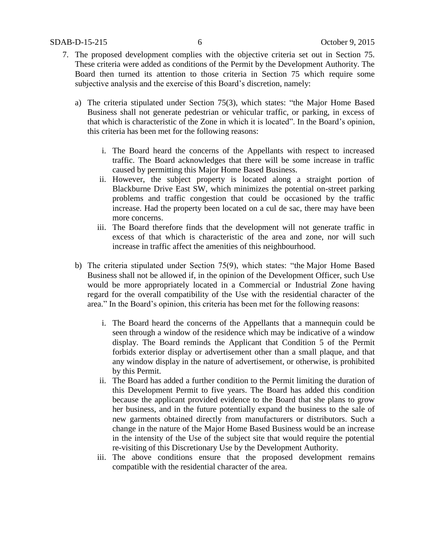- 7. The proposed development complies with the objective criteria set out in Section 75. These criteria were added as conditions of the Permit by the Development Authority. The Board then turned its attention to those criteria in Section 75 which require some subjective analysis and the exercise of this Board's discretion, namely:
	- a) The criteria stipulated under Section 75(3), which states: "the Major Home Based Business shall not generate pedestrian or vehicular traffic, or parking, in excess of that which is characteristic of the Zone in which it is located". In the Board's opinion, this criteria has been met for the following reasons:
		- i. The Board heard the concerns of the Appellants with respect to increased traffic. The Board acknowledges that there will be some increase in traffic caused by permitting this Major Home Based Business.
		- ii. However, the subject property is located along a straight portion of Blackburne Drive East SW, which minimizes the potential on-street parking problems and traffic congestion that could be occasioned by the traffic increase. Had the property been located on a cul de sac, there may have been more concerns.
		- iii. The Board therefore finds that the development will not generate traffic in excess of that which is characteristic of the area and zone, nor will such increase in traffic affect the amenities of this neighbourhood.
	- b) The criteria stipulated under Section 75(9), which states: "the [Major Home Based](javascript:void(0);)  [Business](javascript:void(0);) shall not be allowed if, in the opinion of the Development Officer, such Use would be more appropriately located in a Commercial or Industrial Zone having regard for the overall compatibility of the Use with the residential character of the area." In the Board's opinion, this criteria has been met for the following reasons:
		- i. The Board heard the concerns of the Appellants that a mannequin could be seen through a window of the residence which may be indicative of a window display. The Board reminds the Applicant that Condition 5 of the Permit forbids exterior display or advertisement other than a small plaque, and that any window display in the nature of advertisement, or otherwise, is prohibited by this Permit.
		- ii. The Board has added a further condition to the Permit limiting the duration of this Development Permit to five years. The Board has added this condition because the applicant provided evidence to the Board that she plans to grow her business, and in the future potentially expand the business to the sale of new garments obtained directly from manufacturers or distributors. Such a change in the nature of the Major Home Based Business would be an increase in the intensity of the Use of the subject site that would require the potential re-visiting of this Discretionary Use by the Development Authority.
		- iii. The above conditions ensure that the proposed development remains compatible with the residential character of the area.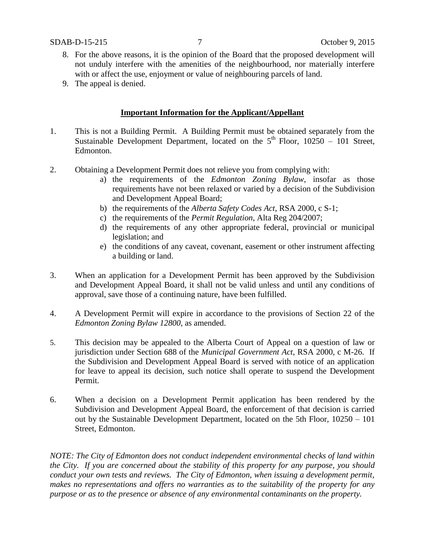- 8. For the above reasons, it is the opinion of the Board that the proposed development will not unduly interfere with the amenities of the neighbourhood, nor materially interfere with or affect the use, enjoyment or value of neighbouring parcels of land.
- 9. The appeal is denied.

# **Important Information for the Applicant/Appellant**

- 1. This is not a Building Permit. A Building Permit must be obtained separately from the Sustainable Development Department, located on the  $5<sup>th</sup>$  Floor, 10250 – 101 Street, Edmonton.
- 2. Obtaining a Development Permit does not relieve you from complying with:
	- a) the requirements of the *Edmonton Zoning Bylaw*, insofar as those requirements have not been relaxed or varied by a decision of the Subdivision and Development Appeal Board;
	- b) the requirements of the *Alberta Safety Codes Act*, RSA 2000, c S-1;
	- c) the requirements of the *Permit Regulation*, Alta Reg 204/2007;
	- d) the requirements of any other appropriate federal, provincial or municipal legislation; and
	- e) the conditions of any caveat, covenant, easement or other instrument affecting a building or land.
- 3. When an application for a Development Permit has been approved by the Subdivision and Development Appeal Board, it shall not be valid unless and until any conditions of approval, save those of a continuing nature, have been fulfilled.
- 4. A Development Permit will expire in accordance to the provisions of Section 22 of the *Edmonton Zoning Bylaw 12800*, as amended.
- 5. This decision may be appealed to the Alberta Court of Appeal on a question of law or jurisdiction under Section 688 of the *Municipal Government Act*, RSA 2000, c M-26. If the Subdivision and Development Appeal Board is served with notice of an application for leave to appeal its decision, such notice shall operate to suspend the Development Permit.
- 6. When a decision on a Development Permit application has been rendered by the Subdivision and Development Appeal Board, the enforcement of that decision is carried out by the Sustainable Development Department, located on the 5th Floor, 10250 – 101 Street, Edmonton.

*NOTE: The City of Edmonton does not conduct independent environmental checks of land within the City. If you are concerned about the stability of this property for any purpose, you should conduct your own tests and reviews. The City of Edmonton, when issuing a development permit, makes no representations and offers no warranties as to the suitability of the property for any purpose or as to the presence or absence of any environmental contaminants on the property.*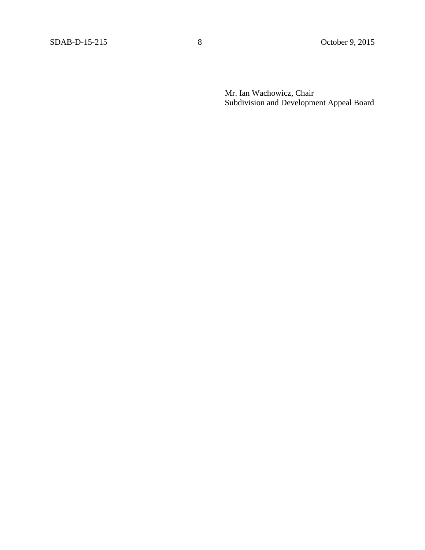Mr. Ian Wachowicz, Chair Subdivision and Development Appeal Board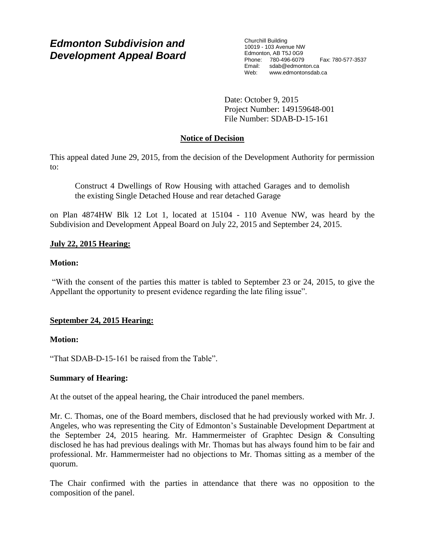# *Edmonton Subdivision and Development Appeal Board*

Churchill Building 10019 - 103 Avenue NW Edmonton, AB T5J 0G9 Phone: 780-496-6079 Fax: 780-577-3537<br>
Email: sdab@edmonton.ca sdab@edmonton.ca Web: www.edmontonsdab.ca

Date: October 9, 2015 Project Number: 149159648-001 File Number: SDAB-D-15-161

# **Notice of Decision**

This appeal dated June 29, 2015, from the decision of the Development Authority for permission to:

Construct 4 Dwellings of Row Housing with attached Garages and to demolish the existing Single Detached House and rear detached Garage

on Plan 4874HW Blk 12 Lot 1, located at 15104 - 110 Avenue NW, was heard by the Subdivision and Development Appeal Board on July 22, 2015 and September 24, 2015.

# **July 22, 2015 Hearing:**

# **Motion:**

"With the consent of the parties this matter is tabled to September 23 or 24, 2015, to give the Appellant the opportunity to present evidence regarding the late filing issue".

# **September 24, 2015 Hearing:**

### **Motion:**

"That SDAB-D-15-161 be raised from the Table".

### **Summary of Hearing:**

At the outset of the appeal hearing, the Chair introduced the panel members.

Mr. C. Thomas, one of the Board members, disclosed that he had previously worked with Mr. J. Angeles, who was representing the City of Edmonton's Sustainable Development Department at the September 24, 2015 hearing. Mr. Hammermeister of Graphtec Design & Consulting disclosed he has had previous dealings with Mr. Thomas but has always found him to be fair and professional. Mr. Hammermeister had no objections to Mr. Thomas sitting as a member of the quorum.

The Chair confirmed with the parties in attendance that there was no opposition to the composition of the panel.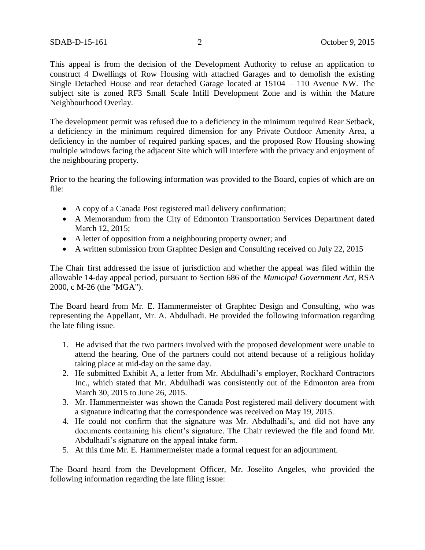This appeal is from the decision of the Development Authority to refuse an application to construct 4 Dwellings of Row Housing with attached Garages and to demolish the existing Single Detached House and rear detached Garage located at 15104 – 110 Avenue NW. The subject site is zoned RF3 Small Scale Infill Development Zone and is within the Mature Neighbourhood Overlay.

The development permit was refused due to a deficiency in the minimum required Rear Setback, a deficiency in the minimum required dimension for any Private Outdoor Amenity Area, a deficiency in the number of required parking spaces, and the proposed Row Housing showing multiple windows facing the adjacent Site which will interfere with the privacy and enjoyment of the neighbouring property.

Prior to the hearing the following information was provided to the Board, copies of which are on file:

- A copy of a Canada Post registered mail delivery confirmation;
- A Memorandum from the City of Edmonton Transportation Services Department dated March 12, 2015;
- A letter of opposition from a neighbouring property owner; and
- A written submission from Graphtec Design and Consulting received on July 22, 2015

The Chair first addressed the issue of jurisdiction and whether the appeal was filed within the allowable 14-day appeal period, pursuant to Section 686 of the *Municipal Government Act,* RSA 2000, c M-26 (the "MGA").

The Board heard from Mr. E. Hammermeister of Graphtec Design and Consulting, who was representing the Appellant, Mr. A. Abdulhadi. He provided the following information regarding the late filing issue.

- 1. He advised that the two partners involved with the proposed development were unable to attend the hearing. One of the partners could not attend because of a religious holiday taking place at mid-day on the same day.
- 2. He submitted Exhibit A, a letter from Mr. Abdulhadi's employer, Rockhard Contractors Inc., which stated that Mr. Abdulhadi was consistently out of the Edmonton area from March 30, 2015 to June 26, 2015.
- 3. Mr. Hammermeister was shown the Canada Post registered mail delivery document with a signature indicating that the correspondence was received on May 19, 2015.
- 4. He could not confirm that the signature was Mr. Abdulhadi's, and did not have any documents containing his client's signature. The Chair reviewed the file and found Mr. Abdulhadi's signature on the appeal intake form.
- 5. At this time Mr. E. Hammermeister made a formal request for an adjournment.

The Board heard from the Development Officer, Mr. Joselito Angeles, who provided the following information regarding the late filing issue: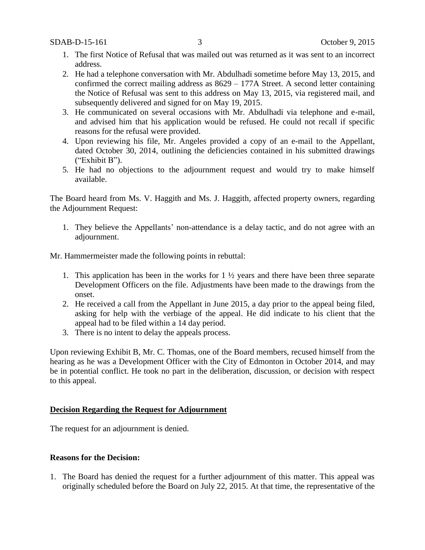- 1. The first Notice of Refusal that was mailed out was returned as it was sent to an incorrect address.
- 2. He had a telephone conversation with Mr. Abdulhadi sometime before May 13, 2015, and confirmed the correct mailing address as 8629 – 177A Street. A second letter containing the Notice of Refusal was sent to this address on May 13, 2015, via registered mail, and subsequently delivered and signed for on May 19, 2015.
- 3. He communicated on several occasions with Mr. Abdulhadi via telephone and e-mail, and advised him that his application would be refused. He could not recall if specific reasons for the refusal were provided.
- 4. Upon reviewing his file, Mr. Angeles provided a copy of an e-mail to the Appellant, dated October 30, 2014, outlining the deficiencies contained in his submitted drawings ("Exhibit B").
- 5. He had no objections to the adjournment request and would try to make himself available.

The Board heard from Ms. V. Haggith and Ms. J. Haggith, affected property owners, regarding the Adjournment Request:

1. They believe the Appellants' non-attendance is a delay tactic, and do not agree with an adjournment.

Mr. Hammermeister made the following points in rebuttal:

- 1. This application has been in the works for  $1\frac{1}{2}$  years and there have been three separate Development Officers on the file. Adjustments have been made to the drawings from the onset.
- 2. He received a call from the Appellant in June 2015, a day prior to the appeal being filed, asking for help with the verbiage of the appeal. He did indicate to his client that the appeal had to be filed within a 14 day period.
- 3. There is no intent to delay the appeals process.

Upon reviewing Exhibit B, Mr. C. Thomas, one of the Board members, recused himself from the hearing as he was a Development Officer with the City of Edmonton in October 2014, and may be in potential conflict. He took no part in the deliberation, discussion, or decision with respect to this appeal.

#### **Decision Regarding the Request for Adjournment**

The request for an adjournment is denied.

#### **Reasons for the Decision:**

1. The Board has denied the request for a further adjournment of this matter. This appeal was originally scheduled before the Board on July 22, 2015. At that time, the representative of the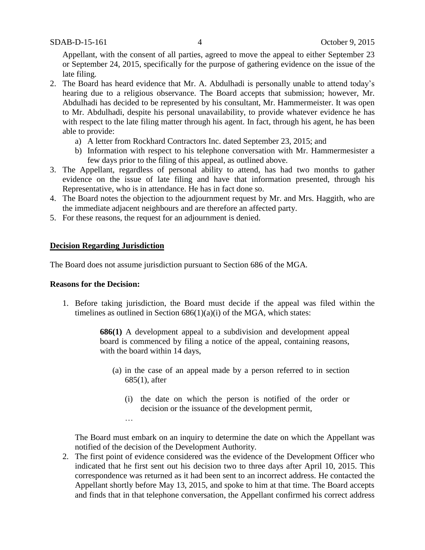Appellant, with the consent of all parties, agreed to move the appeal to either September 23 or September 24, 2015, specifically for the purpose of gathering evidence on the issue of the late filing.

- 2. The Board has heard evidence that Mr. A. Abdulhadi is personally unable to attend today's hearing due to a religious observance. The Board accepts that submission; however, Mr. Abdulhadi has decided to be represented by his consultant, Mr. Hammermeister. It was open to Mr. Abdulhadi, despite his personal unavailability, to provide whatever evidence he has with respect to the late filing matter through his agent. In fact, through his agent, he has been able to provide:
	- a) A letter from Rockhard Contractors Inc. dated September 23, 2015; and
	- b) Information with respect to his telephone conversation with Mr. Hammermesister a few days prior to the filing of this appeal, as outlined above.
- 3. The Appellant, regardless of personal ability to attend, has had two months to gather evidence on the issue of late filing and have that information presented, through his Representative, who is in attendance. He has in fact done so.
- 4. The Board notes the objection to the adjournment request by Mr. and Mrs. Haggith, who are the immediate adjacent neighbours and are therefore an affected party.
- 5. For these reasons, the request for an adjournment is denied.

### **Decision Regarding Jurisdiction**

…

The Board does not assume jurisdiction pursuant to Section 686 of the MGA*.*

#### **Reasons for the Decision:**

1. Before taking jurisdiction, the Board must decide if the appeal was filed within the timelines as outlined in Section  $686(1)(a)(i)$  of the MGA, which states:

> **686(1)** A development appeal to a subdivision and development appeal board is commenced by filing a notice of the appeal, containing reasons, with the board within 14 days,

- (a) in the case of an appeal made by a person referred to in section 685(1), after
	- (i) the date on which the person is notified of the order or decision or the issuance of the development permit,

The Board must embark on an inquiry to determine the date on which the Appellant was notified of the decision of the Development Authority.

2. The first point of evidence considered was the evidence of the Development Officer who indicated that he first sent out his decision two to three days after April 10, 2015. This correspondence was returned as it had been sent to an incorrect address. He contacted the Appellant shortly before May 13, 2015, and spoke to him at that time. The Board accepts and finds that in that telephone conversation, the Appellant confirmed his correct address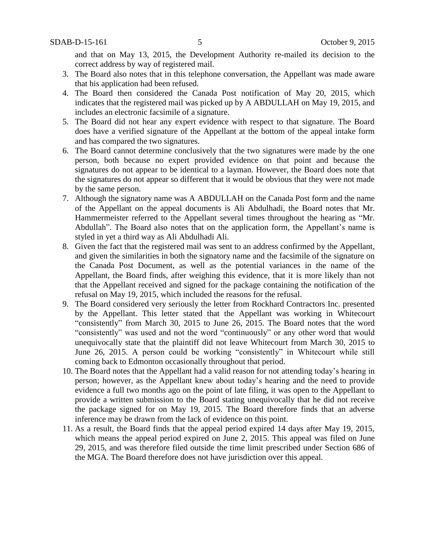and that on May 13, 2015, the Development Authority re-mailed its decision to the correct address by way of registered mail.

- 3. The Board also notes that in this telephone conversation, the Appellant was made aware that his application had been refused.
- 4. The Board then considered the Canada Post notification of May 20, 2015, which indicates that the registered mail was picked up by A ABDULLAH on May 19, 2015, and includes an electronic facsimile of a signature.
- 5. The Board did not hear any expert evidence with respect to that signature. The Board does have a verified signature of the Appellant at the bottom of the appeal intake form and has compared the two signatures.
- 6. The Board cannot determine conclusively that the two signatures were made by the one person, both because no expert provided evidence on that point and because the signatures do not appear to be identical to a layman. However, the Board does note that the signatures do not appear so different that it would be obvious that they were not made by the same person.
- 7. Although the signatory name was A ABDULLAH on the Canada Post form and the name of the Appellant on the appeal documents is Ali Abdulhadi, the Board notes that Mr. Hammermeister referred to the Appellant several times throughout the hearing as "Mr. Abdullah". The Board also notes that on the application form, the Appellant's name is styled in yet a third way as Ali Abdulhadi Ali.
- 8. Given the fact that the registered mail was sent to an address confirmed by the Appellant, and given the similarities in both the signatory name and the facsimile of the signature on the Canada Post Document, as well as the potential variances in the name of the Appellant, the Board finds, after weighing this evidence, that it is more likely than not that the Appellant received and signed for the package containing the notification of the refusal on May 19, 2015, which included the reasons for the refusal.
- 9. The Board considered very seriously the letter from Rockhard Contractors Inc. presented by the Appellant. This letter stated that the Appellant was working in Whitecourt "consistently" from March 30, 2015 to June 26, 2015. The Board notes that the word "consistently" was used and not the word "continuously" or any other word that would unequivocally state that the plaintiff did not leave Whitecourt from March 30, 2015 to June 26, 2015. A person could be working "consistently" in Whitecourt while still coming back to Edmonton occasionally throughout that period.
- 10. The Board notes that the Appellant had a valid reason for not attending today's hearing in person; however, as the Appellant knew about today's hearing and the need to provide evidence a full two months ago on the point of late filing, it was open to the Appellant to provide a written submission to the Board stating unequivocally that he did not receive the package signed for on May 19, 2015. The Board therefore finds that an adverse inference may be drawn from the lack of evidence on this point.
- 11. As a result, the Board finds that the appeal period expired 14 days after May 19, 2015, which means the appeal period expired on June 2, 2015. This appeal was filed on June 29, 2015, and was therefore filed outside the time limit prescribed under Section 686 of the MGA. The Board therefore does not have jurisdiction over this appeal.